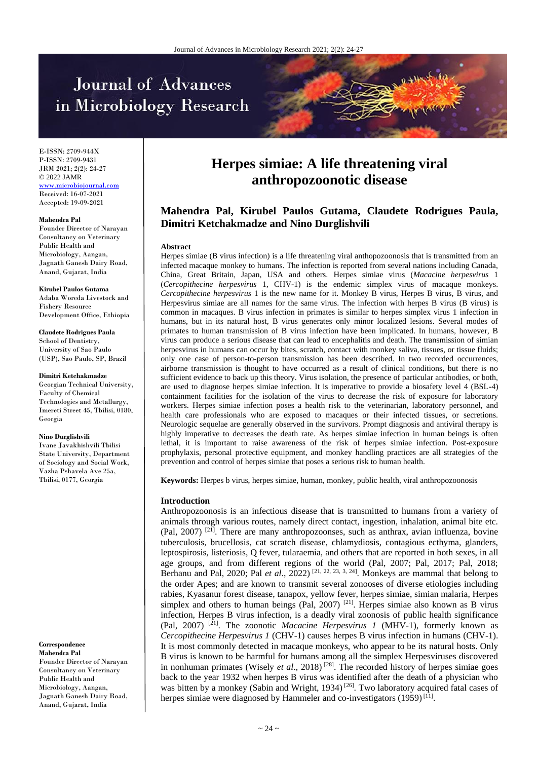# Journal of Advances in Microbiology Research



E-ISSN: 2709-944X P-ISSN: 2709-9431 JRM 2021; 2(2): 24-27 © 2022 JAMR <www.microbiojournal.com> Received: 16-07-2021 Accepted: 19-09-2021

#### **Mahendra Pal**

Founder Director of Narayan Consultancy on Veterinary Public Health and Microbiology, Aangan, Jagnath Ganesh Dairy Road, Anand, Gujarat, India

**Kirubel Paulos Gutama** Adaba Woreda Livestock and Fishery Resource Development Office, Ethiopia

**Claudete Rodrigues Paula** School of Dentistry, University of Sao Paulo (USP), Sao Paulo, SP, Brazil

**Dimitri Ketchakmadze**

Georgian Technical University, Faculty of Chemical Technologies and Metallurgy, Imereti Street 45, Tbilisi, 0180, Georgia

**Nino Durglishvili**

Ivane Javakhishvili Tbilisi State University, Department of Sociology and Social Work, Vazha Pshavela Ave 25a, Tbilisi, 0177, Georgia

#### **Correspondence**

**Mahendra Pal** Founder Director of Narayan Consultancy on Veterinary Public Health and Microbiology, Aangan, Jagnath Ganesh Dairy Road, Anand, Gujarat, India

## **Herpes simiae: A life threatening viral anthropozoonotic disease**

### **Mahendra Pal, Kirubel Paulos Gutama, Claudete Rodrigues Paula, Dimitri Ketchakmadze and Nino Durglishvili**

#### **Abstract**

Herpes simiae (B virus infection) is a life threatening viral anthopozoonosis that is transmitted from an infected macaque monkey to humans. The infection is reported from several nations including Canada, China, Great Britain, Japan, USA and others. Herpes simiae virus (*Macacine herpesvirus* 1 (*Cercopithecine herpesvirus* 1, CHV-1) is the endemic simplex virus of macaque monkeys. *Cercopithecine herpesvirus* 1 is the new name for it. Monkey B virus, Herpes B virus, B virus, and Herpesvirus simiae are all names for the same virus. The infection with herpes B virus (B virus) is common in macaques. B virus infection in primates is similar to herpes simplex virus 1 infection in humans, but in its natural host, B virus generates only minor localized lesions. Several modes of primates to human transmission of B virus infection have been implicated. In humans, however, B virus can produce a serious disease that can lead to encephalitis and death. The transmission of simian herpesvirus in humans can occur by bites, scratch, contact with monkey saliva, tissues, or tissue fluids; only one case of person-to-person transmission has been described. In two recorded occurrences, airborne transmission is thought to have occurred as a result of clinical conditions, but there is no sufficient evidence to back up this theory. Virus isolation, the presence of particular antibodies, or both, are used to diagnose herpes simiae infection. It is imperative to provide a biosafety level 4 (BSL-4) containment facilities for the isolation of the virus to decrease the risk of exposure for laboratory workers. Herpes simiae infection poses a health risk to the veterinarian, laboratory personnel, and health care professionals who are exposed to macaques or their infected tissues, or secretions. Neurologic sequelae are generally observed in the survivors. Prompt diagnosis and antiviral therapy is highly imperative to decreases the death rate. As herpes simiae infection in human beings is often lethal, it is important to raise awareness of the risk of herpes simiae infection. Post-exposure prophylaxis, personal protective equipment, and monkey handling practices are all strategies of the prevention and control of herpes simiae that poses a serious risk to human health.

**Keywords:** Herpes b virus, herpes simiae, human, monkey, public health, viral anthropozoonosis

#### **Introduction**

Anthropozoonosis is an infectious disease that is transmitted to humans from a variety of animals through various routes, namely direct contact, ingestion, inhalation, animal bite etc. (Pal, 2007)<sup>[21]</sup>. There are many anthropozoonses, such as anthrax, avian influenza, bovine tuberculosis, brucellosis, cat scratch disease, chlamydiosis, contagious ecthyma, glanders, leptospirosis, listeriosis, Q fever, tularaemia, and others that are reported in both sexes, in all age groups, and from different regions of the world (Pal, 2007; Pal, 2017; Pal, 2018; Berhanu and Pal, 2020; Pal *et al.*, 2022)<sup>[21, 22, 23, 3, 24]. Monkeys are mammal that belong to</sup> the order Apes; and are known to transmit several zonooses of diverse etiologies including rabies, Kyasanur forest disease, tanapox, yellow fever, herpes simiae, simian malaria, Herpes simplex and others to human beings (Pal, 2007) <sup>[21]</sup>. Herpes simiae also known as B virus infection, Herpes B virus infection, is a deadly viral zoonosis of public health significance (Pal, 2007) [21] . The zoonotic *Macacine Herpesvirus 1* (MHV-1), formerly known as *Cercopithecine Herpesvirus 1* (CHV-1) causes herpes B virus infection in humans (CHV-1). It is most commonly detected in macaque monkeys, who appear to be its natural hosts. Only B virus is known to be harmful for humans among all the simplex Herpesviruses discovered in nonhuman primates (Wisely *et al.*, 2018)<sup>[28]</sup>. The recorded history of herpes simiae goes back to the year 1932 when herpes B virus was identified after the death of a physician who was bitten by a monkey (Sabin and Wright, 1934)<sup>[26]</sup>. Two laboratory acquired fatal cases of herpes simiae were diagnosed by Hammeler and co-investigators  $(1959)^{[11]}$ .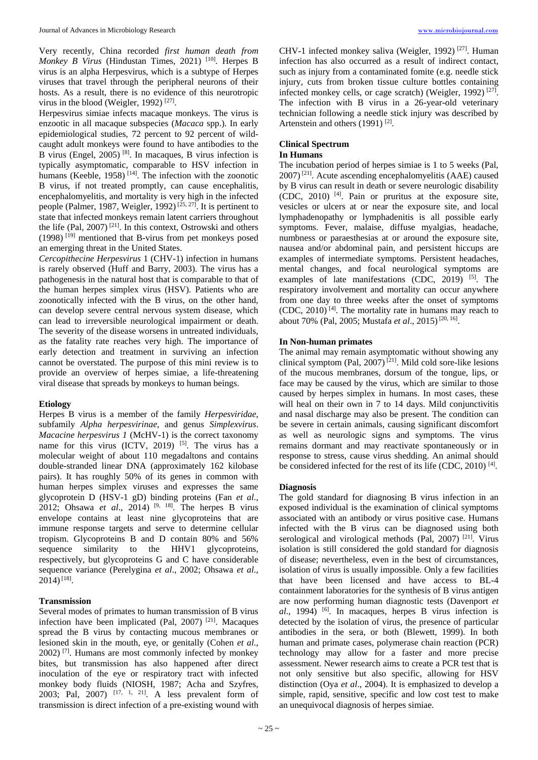Very recently, China recorded *first human death from Monkey B Virus* (Hindustan Times, 2021)<sup>[10]</sup>. Herpes B virus is an alpha Herpesvirus, which is a subtype of Herpes viruses that travel through the peripheral neurons of their hosts. As a result, there is no evidence of this neurotropic virus in the blood (Weigler, 1992)<sup>[27]</sup>.

Herpesvirus simiae infects macaque monkeys. The virus is enzootic in all macaque subspecies (*Macaca* spp.). In early epidemiological studies, 72 percent to 92 percent of wildcaught adult monkeys were found to have antibodies to the B virus (Engel,  $2005$ )<sup>[8]</sup>. In macaques, B virus infection is typically asymptomatic, comparable to HSV infection in humans (Keeble, 1958)<sup>[14]</sup>. The infection with the zoonotic B virus, if not treated promptly, can cause encephalitis, encephalomyelitis, and mortality is very high in the infected people (Palmer, 1987, Weigler, 1992)<sup>[25, 27]</sup>. It is pertinent to state that infected monkeys remain latent carriers throughout the life (Pal,  $2007$ )<sup>[21]</sup>. In this context, Ostrowski and others (1998) [19] mentioned that B-virus from pet monkeys posed an emerging threat in the United States.

*Cercopithecine Herpesvirus* 1 (CHV-1) infection in humans is rarely observed (Huff and Barry, 2003). The virus has a pathogenesis in the natural host that is comparable to that of the human herpes simplex virus (HSV). Patients who are zoonotically infected with the B virus, on the other hand, can develop severe central nervous system disease, which can lead to irreversible neurological impairment or death. The severity of the disease worsens in untreated individuals, as the fatality rate reaches very high. The importance of early detection and treatment in surviving an infection cannot be overstated. The purpose of this mini review is to provide an overview of herpes simiae, a life-threatening viral disease that spreads by monkeys to human beings.

#### **Etiology**

Herpes B virus is a member of the family *Herpesviridae*, subfamily *Alpha herpesvirinae*, and genus *Simplexvirus*. *Macacine herpesvirus 1* (McHV-1) is the correct taxonomy name for this virus (ICTV, 2019)<sup>[5]</sup>. The virus has a molecular weight of about 110 megadaltons and contains double-stranded linear DNA (approximately 162 kilobase pairs). It has roughly 50% of its genes in common with human herpes simplex viruses and expresses the same glycoprotein D (HSV-1 gD) binding proteins (Fan *et al*., 2012; Ohsawa *et al*., 2014) [9, 18] . The herpes B virus envelope contains at least nine glycoproteins that are immune response targets and serve to determine cellular tropism. Glycoproteins B and D contain 80% and 56% sequence similarity to the HHV1 glycoproteins, respectively, but glycoproteins G and C have considerable sequence variance (Perelygina *et al*., 2002; Ohsawa *et al*.,  $2014)$ <sup>[18]</sup>.

#### **Transmission**

Several modes of primates to human transmission of B virus infection have been implicated (Pal, 2007)<sup>[21]</sup>. Macaques spread the B virus by contacting mucous membranes or lesioned skin in the mouth, eye, or genitally (Cohen *et al*., 2002) [7] . Humans are most commonly infected by monkey bites, but transmission has also happened after direct inoculation of the eye or respiratory tract with infected monkey body fluids (NIOSH, 1987; Acha and Szyfres, 2003; Pal, 2007)  $[17, 1, 21]$ . A less prevalent form of transmission is direct infection of a pre-existing wound with

CHV-1 infected monkey saliva (Weigler, 1992)<sup>[27]</sup>. Human infection has also occurred as a result of indirect contact, such as injury from a contaminated fomite (e.g. needle stick injury, cuts from broken tissue culture bottles containing infected monkey cells, or cage scratch) (Weigler, 1992)<sup>[27]</sup>. The infection with B virus in a 26-year-old veterinary technician following a needle stick injury was described by Artenstein and others  $(1991)$ <sup>[2]</sup>.

#### **Clinical Spectrum**

#### **In Humans**

The incubation period of herpes simiae is 1 to 5 weeks (Pal, 2007) [21] . Acute ascending encephalomyelitis (AAE) caused by B virus can result in death or severe neurologic disability (CDC, 2010) [4] . Pain or pruritus at the exposure site, vesicles or ulcers at or near the exposure site, and local lymphadenopathy or lymphadenitis is all possible early symptoms. Fever, malaise, diffuse myalgias, headache, numbness or paraesthesias at or around the exposure site, nausea and/or abdominal pain, and persistent hiccups are examples of intermediate symptoms. Persistent headaches, mental changes, and focal neurological symptoms are examples of late manifestations (CDC, 2019)  $[5]$ . The respiratory involvement and mortality can occur anywhere from one day to three weeks after the onset of symptoms  $(CDC, 2010)$ <sup>[4]</sup>. The mortality rate in humans may reach to about 70% (Pal, 2005; Mustafa et al., 2015)<sup>[20, 16]</sup>.

#### **In Non-human primates**

The animal may remain asymptomatic without showing any clinical symptom (Pal, 2007)<sup>[21]</sup>. Mild cold sore-like lesions of the mucous membranes, dorsum of the tongue, lips, or face may be caused by the virus, which are similar to those caused by herpes simplex in humans. In most cases, these will heal on their own in 7 to 14 days. Mild conjunctivitis and nasal discharge may also be present. The condition can be severe in certain animals, causing significant discomfort as well as neurologic signs and symptoms. The virus remains dormant and may reactivate spontaneously or in response to stress, cause virus shedding. An animal should be considered infected for the rest of its life (CDC, 2010)<sup>[4]</sup>.

#### **Diagnosis**

The gold standard for diagnosing B virus infection in an exposed individual is the examination of clinical symptoms associated with an antibody or virus positive case. Humans infected with the B virus can be diagnosed using both serological and virological methods (Pal, 2007)<sup>[21]</sup>. Virus isolation is still considered the gold standard for diagnosis of disease; nevertheless, even in the best of circumstances, isolation of virus is usually impossible. Only a few facilities that have been licensed and have access to BL-4 containment laboratories for the synthesis of B virus antigen are now performing human diagnostic tests (Davenport *et al*., 1994) [6] . In macaques, herpes B virus infection is detected by the isolation of virus, the presence of particular antibodies in the sera, or both (Blewett, 1999). In both human and primate cases, polymerase chain reaction (PCR) technology may allow for a faster and more precise assessment. Newer research aims to create a PCR test that is not only sensitive but also specific, allowing for HSV distinction (Oya *et al*., 2004). It is emphasized to develop a simple, rapid, sensitive, specific and low cost test to make an unequivocal diagnosis of herpes simiae.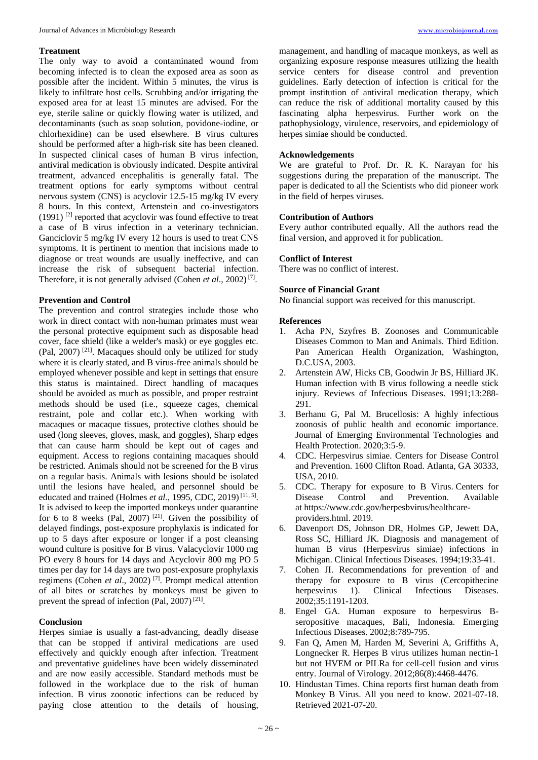#### **Treatment**

The only way to avoid a contaminated wound from becoming infected is to clean the exposed area as soon as possible after the incident. Within 5 minutes, the virus is likely to infiltrate host cells. Scrubbing and/or irrigating the exposed area for at least 15 minutes are advised. For the eye, sterile saline or quickly flowing water is utilized, and decontaminants (such as soap solution, povidone-iodine, or chlorhexidine) can be used elsewhere. B virus cultures should be performed after a high-risk site has been cleaned. In suspected clinical cases of human B virus infection, antiviral medication is obviously indicated. Despite antiviral treatment, advanced encephalitis is generally fatal. The treatment options for early symptoms without central nervous system (CNS) is acyclovir 12.5-15 mg/kg IV every 8 hours. In this context, Artenstein and co-investigators  $(1991)$ <sup>[2]</sup> reported that acyclovir was found effective to treat a case of B virus infection in a veterinary technician. Ganciclovir 5 mg/kg IV every 12 hours is used to treat CNS symptoms. It is pertinent to mention that incisions made to diagnose or treat wounds are usually ineffective, and can increase the risk of subsequent bacterial infection. Therefore, it is not generally advised (Cohen *et al.*, 2002)<sup>[7]</sup>.

#### **Prevention and Control**

The prevention and control strategies include those who work in direct contact with non-human primates must wear the personal protective equipment such as disposable head cover, face shield (like a welder's mask) or eye goggles etc. (Pal, 2007)<sup>[21]</sup>. Macaques should only be utilized for study where it is clearly stated, and B virus-free animals should be employed whenever possible and kept in settings that ensure this status is maintained. Direct handling of macaques should be avoided as much as possible, and proper restraint methods should be used (i.e., squeeze cages, chemical restraint, pole and collar etc.). When working with macaques or macaque tissues, protective clothes should be used (long sleeves, gloves, mask, and goggles), Sharp edges that can cause harm should be kept out of cages and equipment. Access to regions containing macaques should be restricted. Animals should not be screened for the B virus on a regular basis. Animals with lesions should be isolated until the lesions have healed, and personnel should be educated and trained (Holmes *et al.*, 1995, CDC, 2019)<sup>[11, 5]</sup>. It is advised to keep the imported monkeys under quarantine for 6 to 8 weeks (Pal, 2007)<sup>[21]</sup>. Given the possibility of delayed findings, post-exposure prophylaxis is indicated for up to 5 days after exposure or longer if a post cleansing wound culture is positive for B virus. Valacyclovir 1000 mg PO every 8 hours for 14 days and Acyclovir 800 mg PO 5 times per day for 14 days are two post-exposure prophylaxis regimens (Cohen *et al*., 2002) [7] . Prompt medical attention of all bites or scratches by monkeys must be given to prevent the spread of infection (Pal, 2007)<sup>[21]</sup>.

#### **Conclusion**

Herpes simiae is usually a fast-advancing, deadly disease that can be stopped if antiviral medications are used effectively and quickly enough after infection. Treatment and preventative guidelines have been widely disseminated and are now easily accessible. Standard methods must be followed in the workplace due to the risk of human infection. B virus zoonotic infections can be reduced by paying close attention to the details of housing,

management, and handling of macaque monkeys, as well as organizing exposure response measures utilizing the health service centers for disease control and prevention guidelines. Early detection of infection is critical for the prompt institution of antiviral medication therapy, which can reduce the risk of additional mortality caused by this fascinating alpha herpesvirus. Further work on the pathophysiology, virulence, reservoirs, and epidemiology of herpes simiae should be conducted.

#### **Acknowledgements**

We are grateful to Prof. Dr. R. K. Narayan for his suggestions during the preparation of the manuscript. The paper is dedicated to all the Scientists who did pioneer work in the field of herpes viruses.

#### **Contribution of Authors**

Every author contributed equally. All the authors read the final version, and approved it for publication.

#### **Conflict of Interest**

There was no conflict of interest.

#### **Source of Financial Grant**

No financial support was received for this manuscript.

#### **References**

- 1. Acha PN, Szyfres B. Zoonoses and Communicable Diseases Common to Man and Animals. Third Edition. Pan American Health Organization, Washington, D.C.USA, 2003.
- 2. Artenstein AW, Hicks CB, Goodwin Jr BS, Hilliard JK. Human infection with B virus following a needle stick injury. Reviews of Infectious Diseases. 1991;13:288- 291.
- 3. Berhanu G, Pal M. Brucellosis: A highly infectious zoonosis of public health and economic importance. Journal of Emerging Environmental Technologies and Health Protection. 2020;3:5-9.
- 4. CDC. Herpesvirus simiae. Centers for Disease Control and Prevention. 1600 Clifton Road. Atlanta, GA 30333, USA, 2010.
- 5. CDC. Therapy for exposure to B Virus. Centers for Disease Control and Prevention. Available at https://www.cdc.gov/herpesbvirus/healthcareproviders.html. 2019.
- 6. Davenport DS, Johnson DR, Holmes GP, Jewett DA, Ross SC, Hilliard JK*.* Diagnosis and management of human B virus (Herpesvirus simiae) infections in Michigan. Clinical Infectious Diseases. 1994;19:33-41.
- 7. Cohen JI. Recommendations for prevention of and therapy for exposure to B virus (Cercopithecine<br>herpesvirus 1). Clinical Infectious Diseases. herpesvirus 1). Clinical Infectious Diseases. 2002;35:1191-1203.
- 8. Engel GA. Human exposure to herpesvirus Bseropositive macaques, Bali, Indonesia. Emerging Infectious Diseases. 2002;8:789-795.
- 9. Fan Q, Amen M, Harden M, Severini A, Griffiths A, Longnecker R. Herpes B virus utilizes human nectin-1 but not HVEM or PILRa for cell-cell fusion and virus entry. Journal of Virology. 2012;86(8):4468-4476.
- 10. Hindustan Times. China reports first human death from Monkey B Virus. All you need to know. 2021-07-18. Retrieved 2021-07-20.